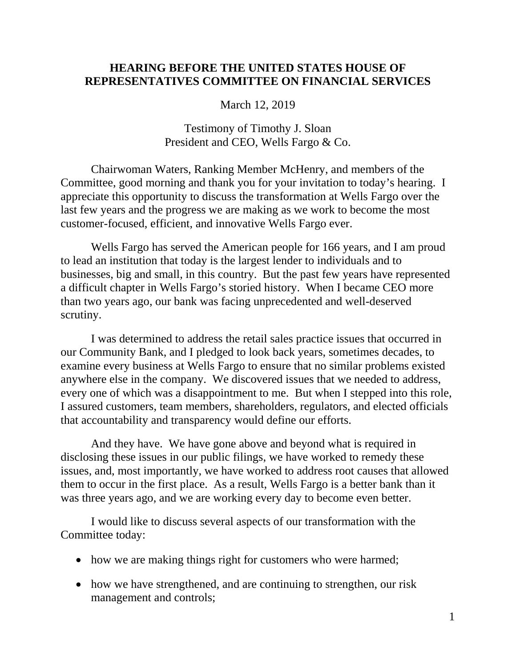# **HEARING BEFORE THE UNITED STATES HOUSE OF REPRESENTATIVES COMMITTEE ON FINANCIAL SERVICES**

March 12, 2019

### Testimony of Timothy J. Sloan President and CEO, Wells Fargo & Co.

Chairwoman Waters, Ranking Member McHenry, and members of the Committee, good morning and thank you for your invitation to today's hearing. I appreciate this opportunity to discuss the transformation at Wells Fargo over the last few years and the progress we are making as we work to become the most customer-focused, efficient, and innovative Wells Fargo ever.

Wells Fargo has served the American people for 166 years, and I am proud to lead an institution that today is the largest lender to individuals and to businesses, big and small, in this country. But the past few years have represented a difficult chapter in Wells Fargo's storied history. When I became CEO more than two years ago, our bank was facing unprecedented and well-deserved scrutiny.

I was determined to address the retail sales practice issues that occurred in our Community Bank, and I pledged to look back years, sometimes decades, to examine every business at Wells Fargo to ensure that no similar problems existed anywhere else in the company. We discovered issues that we needed to address, every one of which was a disappointment to me. But when I stepped into this role, I assured customers, team members, shareholders, regulators, and elected officials that accountability and transparency would define our efforts.

And they have. We have gone above and beyond what is required in disclosing these issues in our public filings, we have worked to remedy these issues, and, most importantly, we have worked to address root causes that allowed them to occur in the first place. As a result, Wells Fargo is a better bank than it was three years ago, and we are working every day to become even better.

I would like to discuss several aspects of our transformation with the Committee today:

- how we are making things right for customers who were harmed;
- how we have strengthened, and are continuing to strengthen, our risk management and controls;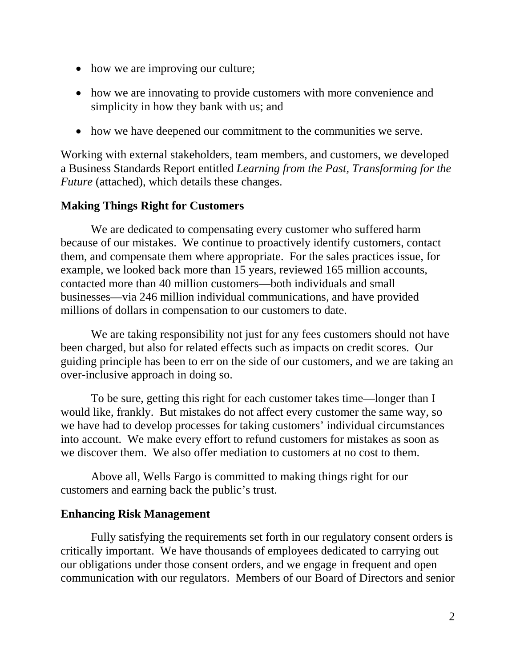- how we are improving our culture;
- how we are innovating to provide customers with more convenience and simplicity in how they bank with us; and
- how we have deepened our commitment to the communities we serve.

Working with external stakeholders, team members, and customers, we developed a Business Standards Report entitled *Learning from the Past, Transforming for the Future* (attached), which details these changes.

# **Making Things Right for Customers**

We are dedicated to compensating every customer who suffered harm because of our mistakes. We continue to proactively identify customers, contact them, and compensate them where appropriate. For the sales practices issue, for example, we looked back more than 15 years, reviewed 165 million accounts, contacted more than 40 million customers—both individuals and small businesses—via 246 million individual communications, and have provided millions of dollars in compensation to our customers to date.

We are taking responsibility not just for any fees customers should not have been charged, but also for related effects such as impacts on credit scores. Our guiding principle has been to err on the side of our customers, and we are taking an over-inclusive approach in doing so.

To be sure, getting this right for each customer takes time—longer than I would like, frankly. But mistakes do not affect every customer the same way, so we have had to develop processes for taking customers' individual circumstances into account. We make every effort to refund customers for mistakes as soon as we discover them. We also offer mediation to customers at no cost to them.

Above all, Wells Fargo is committed to making things right for our customers and earning back the public's trust.

# **Enhancing Risk Management**

Fully satisfying the requirements set forth in our regulatory consent orders is critically important. We have thousands of employees dedicated to carrying out our obligations under those consent orders, and we engage in frequent and open communication with our regulators. Members of our Board of Directors and senior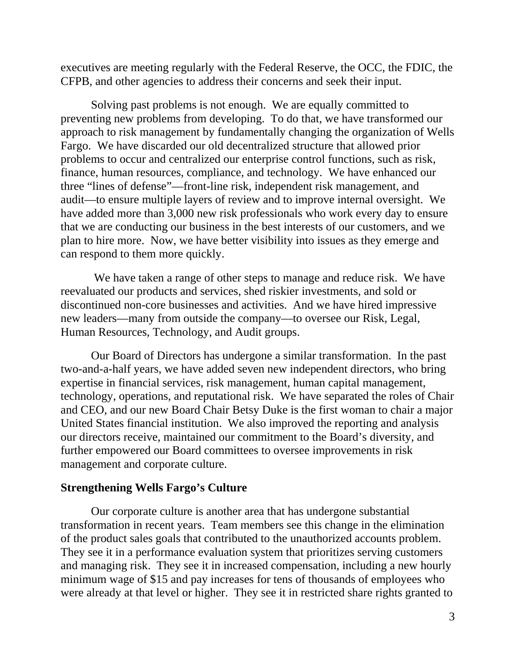executives are meeting regularly with the Federal Reserve, the OCC, the FDIC, the CFPB, and other agencies to address their concerns and seek their input.

Solving past problems is not enough. We are equally committed to preventing new problems from developing. To do that, we have transformed our approach to risk management by fundamentally changing the organization of Wells Fargo. We have discarded our old decentralized structure that allowed prior problems to occur and centralized our enterprise control functions, such as risk, finance, human resources, compliance, and technology. We have enhanced our three "lines of defense"—front-line risk, independent risk management, and audit—to ensure multiple layers of review and to improve internal oversight. We have added more than 3,000 new risk professionals who work every day to ensure that we are conducting our business in the best interests of our customers, and we plan to hire more. Now, we have better visibility into issues as they emerge and can respond to them more quickly.

We have taken a range of other steps to manage and reduce risk. We have reevaluated our products and services, shed riskier investments, and sold or discontinued non-core businesses and activities. And we have hired impressive new leaders—many from outside the company—to oversee our Risk, Legal, Human Resources, Technology, and Audit groups.

Our Board of Directors has undergone a similar transformation. In the past two-and-a-half years, we have added seven new independent directors, who bring expertise in financial services, risk management, human capital management, technology, operations, and reputational risk. We have separated the roles of Chair and CEO, and our new Board Chair Betsy Duke is the first woman to chair a major United States financial institution. We also improved the reporting and analysis our directors receive, maintained our commitment to the Board's diversity, and further empowered our Board committees to oversee improvements in risk management and corporate culture.

#### **Strengthening Wells Fargo's Culture**

Our corporate culture is another area that has undergone substantial transformation in recent years. Team members see this change in the elimination of the product sales goals that contributed to the unauthorized accounts problem. They see it in a performance evaluation system that prioritizes serving customers and managing risk. They see it in increased compensation, including a new hourly minimum wage of \$15 and pay increases for tens of thousands of employees who were already at that level or higher. They see it in restricted share rights granted to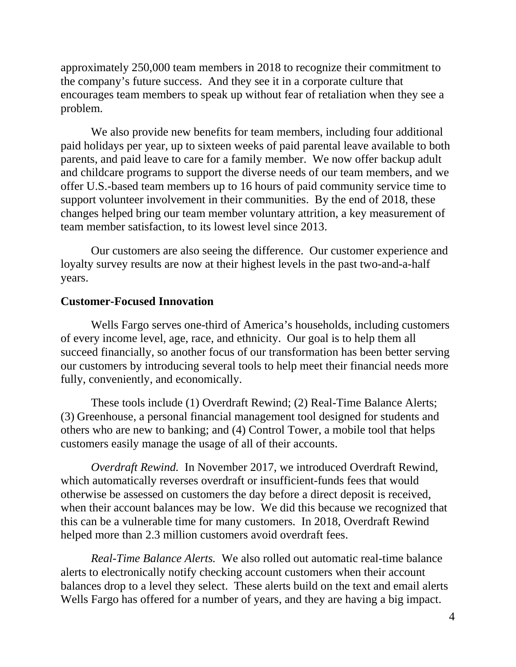approximately 250,000 team members in 2018 to recognize their commitment to the company's future success. And they see it in a corporate culture that encourages team members to speak up without fear of retaliation when they see a problem.

We also provide new benefits for team members, including four additional paid holidays per year, up to sixteen weeks of paid parental leave available to both parents, and paid leave to care for a family member. We now offer backup adult and childcare programs to support the diverse needs of our team members, and we offer U.S.-based team members up to 16 hours of paid community service time to support volunteer involvement in their communities. By the end of 2018, these changes helped bring our team member voluntary attrition, a key measurement of team member satisfaction, to its lowest level since 2013.

Our customers are also seeing the difference. Our customer experience and loyalty survey results are now at their highest levels in the past two-and-a-half years.

#### **Customer-Focused Innovation**

Wells Fargo serves one-third of America's households, including customers of every income level, age, race, and ethnicity. Our goal is to help them all succeed financially, so another focus of our transformation has been better serving our customers by introducing several tools to help meet their financial needs more fully, conveniently, and economically.

These tools include (1) Overdraft Rewind; (2) Real-Time Balance Alerts; (3) Greenhouse, a personal financial management tool designed for students and others who are new to banking; and (4) Control Tower, a mobile tool that helps customers easily manage the usage of all of their accounts.

*Overdraft Rewind.* In November 2017, we introduced Overdraft Rewind, which automatically reverses overdraft or insufficient-funds fees that would otherwise be assessed on customers the day before a direct deposit is received, when their account balances may be low. We did this because we recognized that this can be a vulnerable time for many customers. In 2018, Overdraft Rewind helped more than 2.3 million customers avoid overdraft fees.

*Real-Time Balance Alerts.* We also rolled out automatic real-time balance alerts to electronically notify checking account customers when their account balances drop to a level they select. These alerts build on the text and email alerts Wells Fargo has offered for a number of years, and they are having a big impact.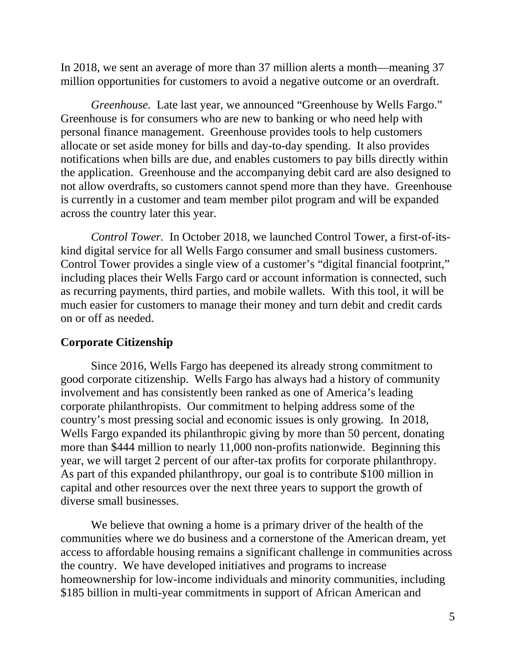In 2018, we sent an average of more than 37 million alerts a month—meaning 37 million opportunities for customers to avoid a negative outcome or an overdraft.

*Greenhouse.* Late last year, we announced "Greenhouse by Wells Fargo." Greenhouse is for consumers who are new to banking or who need help with personal finance management. Greenhouse provides tools to help customers allocate or set aside money for bills and day-to-day spending. It also provides notifications when bills are due, and enables customers to pay bills directly within the application. Greenhouse and the accompanying debit card are also designed to not allow overdrafts, so customers cannot spend more than they have. Greenhouse is currently in a customer and team member pilot program and will be expanded across the country later this year.

*Control Tower.* In October 2018, we launched Control Tower, a first-of-itskind digital service for all Wells Fargo consumer and small business customers. Control Tower provides a single view of a customer's "digital financial footprint," including places their Wells Fargo card or account information is connected, such as recurring payments, third parties, and mobile wallets. With this tool, it will be much easier for customers to manage their money and turn debit and credit cards on or off as needed.

#### **Corporate Citizenship**

Since 2016, Wells Fargo has deepened its already strong commitment to good corporate citizenship. Wells Fargo has always had a history of community involvement and has consistently been ranked as one of America's leading corporate philanthropists. Our commitment to helping address some of the country's most pressing social and economic issues is only growing. In 2018, Wells Fargo expanded its philanthropic giving by more than 50 percent, donating more than \$444 million to nearly 11,000 non-profits nationwide. Beginning this year, we will target 2 percent of our after-tax profits for corporate philanthropy. As part of this expanded philanthropy, our goal is to contribute \$100 million in capital and other resources over the next three years to support the growth of diverse small businesses.

We believe that owning a home is a primary driver of the health of the communities where we do business and a cornerstone of the American dream, yet access to affordable housing remains a significant challenge in communities across the country. We have developed initiatives and programs to increase homeownership for low-income individuals and minority communities, including \$185 billion in multi-year commitments in support of African American and